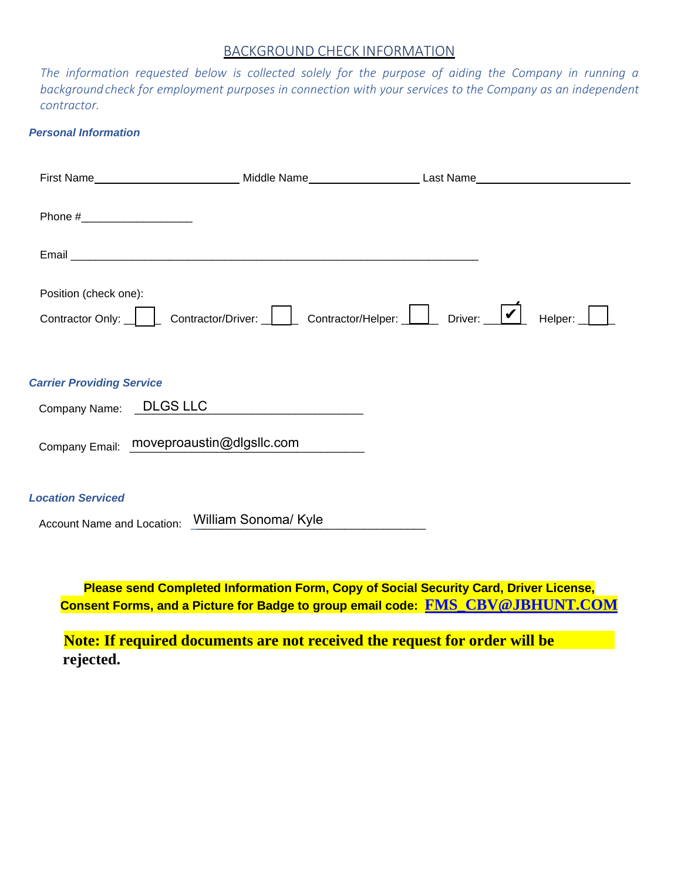### BACKGROUND CHECK INFORMATION

*The information requested below is collected solely for the purpose of aiding the Company in running a backgroundcheck for employment purposes in connection with your services to the Company as an independent contractor.*

#### *Personal Information*

|                                  | First Name______________________________Middle Name_____________________Last Name____________________________ |         |
|----------------------------------|---------------------------------------------------------------------------------------------------------------|---------|
| Phone #______________________    |                                                                                                               |         |
|                                  |                                                                                                               |         |
| Position (check one):            | Contractor Only: Contractor/Driver: Contractor/Helper: Driver: V                                              | Helper: |
| <b>Carrier Providing Service</b> |                                                                                                               |         |
| Company Name: _ DLGS LLC         |                                                                                                               |         |
|                                  | Company Email: moveproaustin@dlgsllc.com                                                                      |         |
| <b>Location Serviced</b>         |                                                                                                               |         |
|                                  | Account Name and Location: William Sonoma/ Kyle                                                               |         |

**Please send Completed Information Form, Copy of Social Security Card, Driver License, Consent Forms, and a Picture for Badge to group email code: [FMS\\_CBV@JBHUNT.COM](mailto:FMS_CBV@JBHUNT.COM)**

**Note: If required documents are not received the request for order will be rejected.**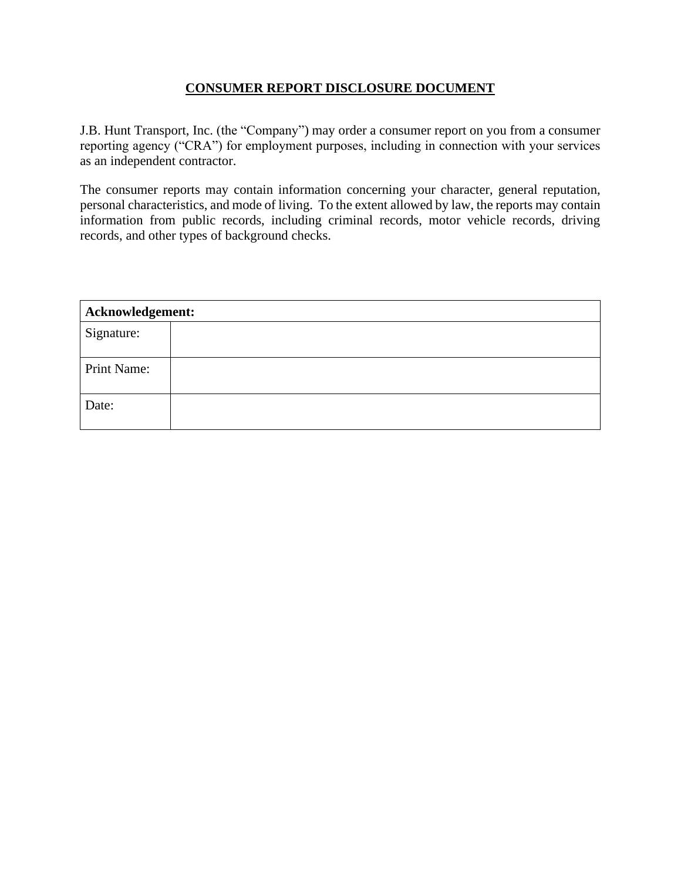# **CONSUMER REPORT DISCLOSURE DOCUMENT**

J.B. Hunt Transport, Inc. (the "Company") may order a consumer report on you from a consumer reporting agency ("CRA") for employment purposes, including in connection with your services as an independent contractor.

The consumer reports may contain information concerning your character, general reputation, personal characteristics, and mode of living. To the extent allowed by law, the reports may contain information from public records, including criminal records, motor vehicle records, driving records, and other types of background checks.

| Acknowledgement: |  |  |
|------------------|--|--|
| Signature:       |  |  |
| Print Name:      |  |  |
| Date:            |  |  |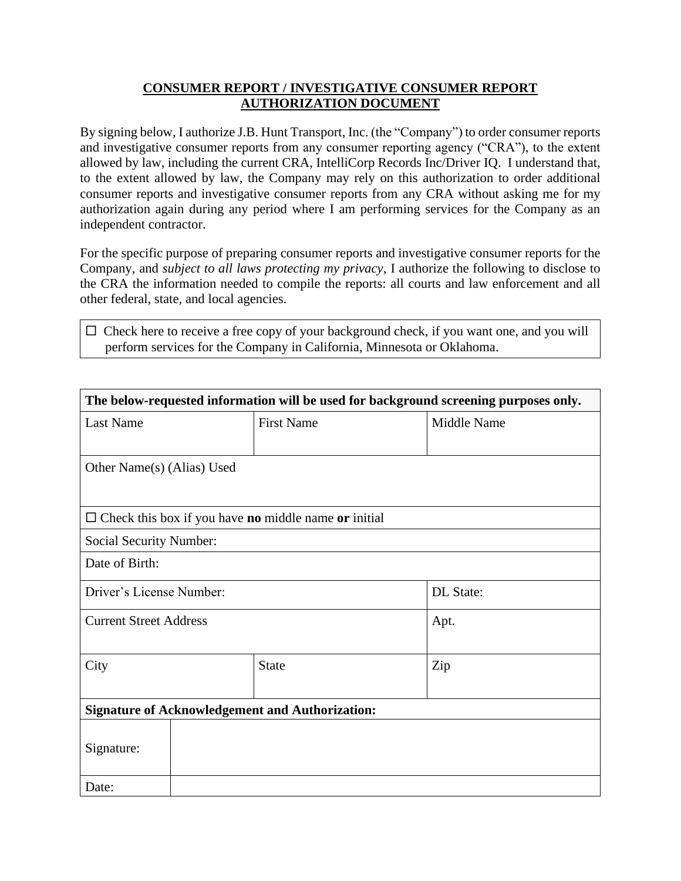### **CONSUMER REPORT / INVESTIGATIVE CONSUMER REPORT AUTHORIZATION DOCUMENT**

By signing below, I authorize J.B. Hunt Transport, Inc. (the "Company") to order consumer reports and investigative consumer reports from any consumer reporting agency ("CRA"), to the extent allowed by law, including the current CRA, IntelliCorp Records Inc/Driver IQ. I understand that, to the extent allowed by law, the Company may rely on this authorization to order additional consumer reports and investigative consumer reports from any CRA without asking me for my authorization again during any period where I am performing services for the Company as an independent contractor.

For the specific purpose of preparing consumer reports and investigative consumer reports for the Company, and *subject to all laws protecting my privacy*, I authorize the following to disclose to the CRA the information needed to compile the reports: all courts and law enforcement and all other federal, state, and local agencies.

| $\Box$ Check here to receive a free copy of your background check, if you want one, and you will |
|--------------------------------------------------------------------------------------------------|
| perform services for the Company in California, Minnesota or Oklahoma.                           |

| The below-requested information will be used for background screening purposes only. |                   |                    |  |  |  |
|--------------------------------------------------------------------------------------|-------------------|--------------------|--|--|--|
| <b>Last Name</b>                                                                     | <b>First Name</b> | <b>Middle Name</b> |  |  |  |
|                                                                                      |                   |                    |  |  |  |
| Other Name(s) (Alias) Used                                                           |                   |                    |  |  |  |
|                                                                                      |                   |                    |  |  |  |
| $\Box$ Check this box if you have <b>no</b> middle name or initial                   |                   |                    |  |  |  |
| <b>Social Security Number:</b>                                                       |                   |                    |  |  |  |
| Date of Birth:                                                                       |                   |                    |  |  |  |
| Driver's License Number:                                                             |                   | DL State:          |  |  |  |
| <b>Current Street Address</b>                                                        |                   | Apt.               |  |  |  |
|                                                                                      |                   |                    |  |  |  |
| City                                                                                 | <b>State</b>      | Zip                |  |  |  |
|                                                                                      |                   |                    |  |  |  |
| <b>Signature of Acknowledgement and Authorization:</b>                               |                   |                    |  |  |  |
|                                                                                      |                   |                    |  |  |  |
| Signature:                                                                           |                   |                    |  |  |  |
| Date:                                                                                |                   |                    |  |  |  |